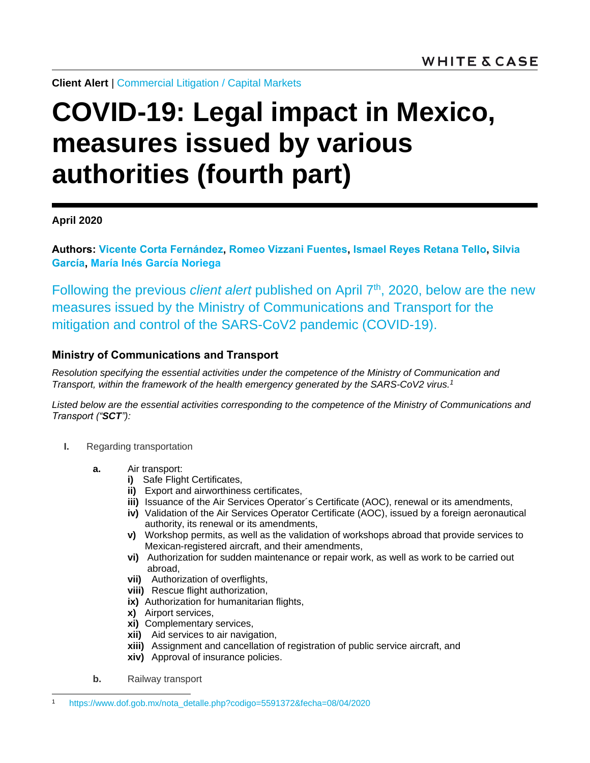**Client Alert** | [Commercial Litigation](https://news.whitecase.com/email_handler.aspx?sid=71f51648-da32-4366-8bea-03bc0790b466&redirect=https%3a%2f%2fwww.whitecase.com%2flaw%2fpractices%2fcommercial-litigation) / [Capital Markets](https://www.whitecase.com/law/practices/capital-markets)

## **COVID-19: Legal impact in Mexico, measures issued by various authorities (fourth part)**

**April 2020**

**Authors: [Vicente Corta Fernández,](https://www.whitecase.com/people/vicente-corta-fernandez) [Romeo Vizzani Fuentes,](https://www.whitecase.com/people/romeo-vizzani) [Ismael Reyes Retana Tello,](https://www.whitecase.com/people/ismael-reyes-retana-tello) [Silvia](https://www.whitecase.com/people/silvia-garcia)  [García,](https://www.whitecase.com/people/silvia-garcia) María Inés García Noriega**

Following the previous *client alert* published on [April 7](https://news.whitecase.com/195/15123/downloads/covid-19-legal-impact-in-mexico--measures-issued-by-various-authorities-(third-part)-spn.pdf)<sup>th</sup>, 2020, below are the new measures issued by the Ministry of Communications and Transport for the mitigation and control of the SARS-CoV2 pandemic (COVID-19).

## **Ministry of Communications and Transport**

*Resolution specifying the essential activities under the competence of the Ministry of Communication and Transport, within the framework of the health emergency generated by the SARS-CoV2 virus. 1*

*Listed below are the essential activities corresponding to the competence of the Ministry of Communications and Transport ("SCT"):*

- **I.** Regarding transportation
	- **a.** Air transport:
		- **i)** Safe Flight Certificates,
		- **ii)** Export and airworthiness certificates,
		- **iii)** Issuance of the Air Services Operator´s Certificate (AOC), renewal or its amendments,
		- **iv)** Validation of the Air Services Operator Certificate (AOC), issued by a foreign aeronautical authority, its renewal or its amendments,
		- **v)** Workshop permits, as well as the validation of workshops abroad that provide services to Mexican-registered aircraft, and their amendments,
		- **vi)** Authorization for sudden maintenance or repair work, as well as work to be carried out abroad,
		- **vii)** Authorization of overflights,
		- **viii)** Rescue flight authorization,
		- **ix)** Authorization for humanitarian flights,
		- **x)** Airport services,
		- **xi)** Complementary services,
		- **xii)** Aid services to air navigation,
		- **xiii)** Assignment and cancellation of registration of public service aircraft, and
		- **xiv)** Approval of insurance policies.
	- **b.** Railway transport

l

<sup>1</sup> [https://www.dof.gob.mx/nota\\_detalle.php?codigo=5591372&fecha=08/04/2020](https://www.dof.gob.mx/nota_detalle.php?codigo=5591372&fecha=08/04/2020)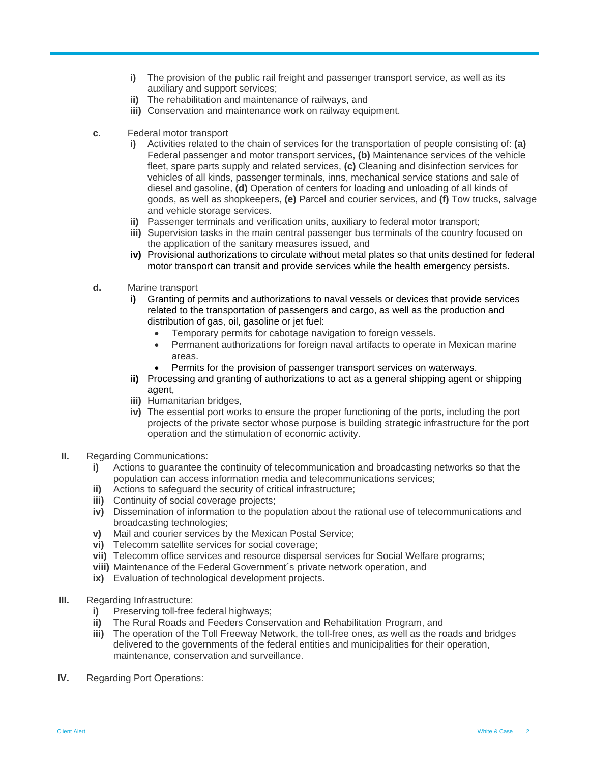- **i)** The provision of the public rail freight and passenger transport service, as well as its auxiliary and support services;
- **ii)** The rehabilitation and maintenance of railways, and
- **iii)** Conservation and maintenance work on railway equipment.
- **c.** Federal motor transport
	- **i)** Activities related to the chain of services for the transportation of people consisting of: **(a)** Federal passenger and motor transport services, **(b)** Maintenance services of the vehicle fleet, spare parts supply and related services, **(c)** Cleaning and disinfection services for vehicles of all kinds, passenger terminals, inns, mechanical service stations and sale of diesel and gasoline, **(d)** Operation of centers for loading and unloading of all kinds of goods, as well as shopkeepers, **(e)** Parcel and courier services, and **(f)** Tow trucks, salvage and vehicle storage services.
	- **ii)** Passenger terminals and verification units, auxiliary to federal motor transport;
	- **iii)** Supervision tasks in the main central passenger bus terminals of the country focused on the application of the sanitary measures issued, and
	- **iv)** Provisional authorizations to circulate without metal plates so that units destined for federal motor transport can transit and provide services while the health emergency persists.
- **d.** Marine transport
	- **i)** Granting of permits and authorizations to naval vessels or devices that provide services related to the transportation of passengers and cargo, as well as the production and distribution of gas, oil, gasoline or jet fuel:
		- Temporary permits for cabotage navigation to foreign vessels.
		- Permanent authorizations for foreign naval artifacts to operate in Mexican marine areas.
		- Permits for the provision of passenger transport services on waterways.
	- **ii)** Processing and granting of authorizations to act as a general shipping agent or shipping agent,
	- **iii)** Humanitarian bridges,
	- **iv)** The essential port works to ensure the proper functioning of the ports, including the port projects of the private sector whose purpose is building strategic infrastructure for the port operation and the stimulation of economic activity.
- **II.** Regarding Communications:
	- **i)** Actions to guarantee the continuity of telecommunication and broadcasting networks so that the population can access information media and telecommunications services;
	- **ii)** Actions to safeguard the security of critical infrastructure;
	- **iii)** Continuity of social coverage projects;
	- **iv)** Dissemination of information to the population about the rational use of telecommunications and broadcasting technologies;
	- **v)** Mail and courier services by the Mexican Postal Service;
	- **vi)** Telecomm satellite services for social coverage;
	- **vii)** Telecomm office services and resource dispersal services for Social Welfare programs;
	- **viii)** Maintenance of the Federal Government´s private network operation, and
	- **ix)** Evaluation of technological development projects.
- **III.** Regarding Infrastructure:
	- **i)** Preserving toll-free federal highways;
	- **ii)** The Rural Roads and Feeders Conservation and Rehabilitation Program, and
	- **iii)** The operation of the Toll Freeway Network, the toll-free ones, as well as the roads and bridges delivered to the governments of the federal entities and municipalities for their operation, maintenance, conservation and surveillance.
- **IV.** Regarding Port Operations: